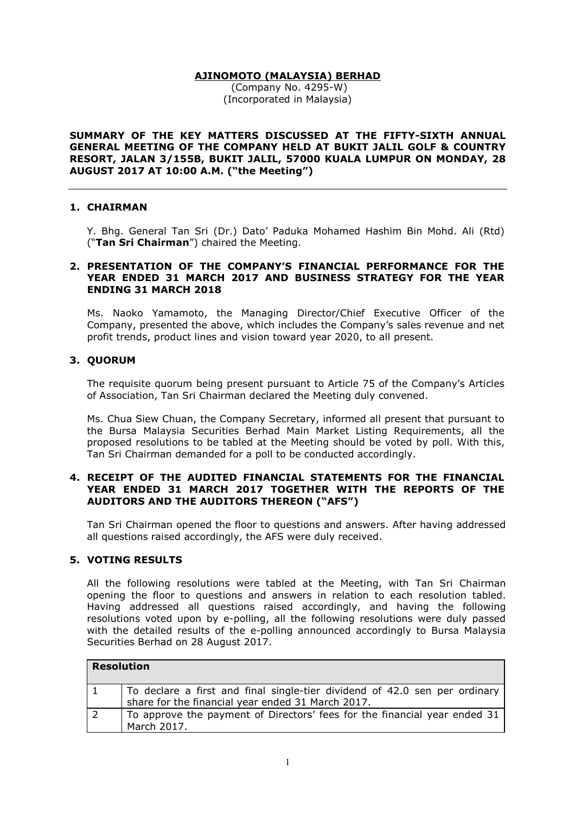## AJINOMOTO (MALAYSIA) BERHAD

 (Company No. 4295-W) (Incorporated in Malaysia)

SUMMARY OF THE KEY MATTERS DISCUSSED AT THE FIFTY-SIXTH ANNUAL GENERAL MEETING OF THE COMPANY HELD AT BUKIT JALIL GOLF & COUNTRY RESORT, JALAN 3/155B, BUKIT JALIL, 57000 KUALA LUMPUR ON MONDAY, 28 AUGUST 2017 AT 10:00 A.M. ("the Meeting")

### 1. CHAIRMAN

 Y. Bhg. General Tan Sri (Dr.) Dato' Paduka Mohamed Hashim Bin Mohd. Ali (Rtd) ("Tan Sri Chairman") chaired the Meeting.

## 2. PRESENTATION OF THE COMPANY'S FINANCIAL PERFORMANCE FOR THE YEAR ENDED 31 MARCH 2017 AND BUSINESS STRATEGY FOR THE YEAR ENDING 31 MARCH 2018

Ms. Naoko Yamamoto, the Managing Director/Chief Executive Officer of the Company, presented the above, which includes the Company's sales revenue and net profit trends, product lines and vision toward year 2020, to all present.

# 3. QUORUM

 The requisite quorum being present pursuant to Article 75 of the Company's Articles of Association, Tan Sri Chairman declared the Meeting duly convened.

 Ms. Chua Siew Chuan, the Company Secretary, informed all present that pursuant to the Bursa Malaysia Securities Berhad Main Market Listing Requirements, all the proposed resolutions to be tabled at the Meeting should be voted by poll. With this, Tan Sri Chairman demanded for a poll to be conducted accordingly.

### 4. RECEIPT OF THE AUDITED FINANCIAL STATEMENTS FOR THE FINANCIAL YEAR ENDED 31 MARCH 2017 TOGETHER WITH THE REPORTS OF THE AUDITORS AND THE AUDITORS THEREON ("AFS")

 Tan Sri Chairman opened the floor to questions and answers. After having addressed all questions raised accordingly, the AFS were duly received.

### 5. VOTING RESULTS

All the following resolutions were tabled at the Meeting, with Tan Sri Chairman opening the floor to questions and answers in relation to each resolution tabled. Having addressed all questions raised accordingly, and having the following resolutions voted upon by e-polling, all the following resolutions were duly passed with the detailed results of the e-polling announced accordingly to Bursa Malaysia Securities Berhad on 28 August 2017.

| <b>Resolution</b> |                                                                                                                                 |
|-------------------|---------------------------------------------------------------------------------------------------------------------------------|
|                   | To declare a first and final single-tier dividend of 42.0 sen per ordinary<br>share for the financial year ended 31 March 2017. |
|                   | To approve the payment of Directors' fees for the financial year ended 31<br>March 2017.                                        |